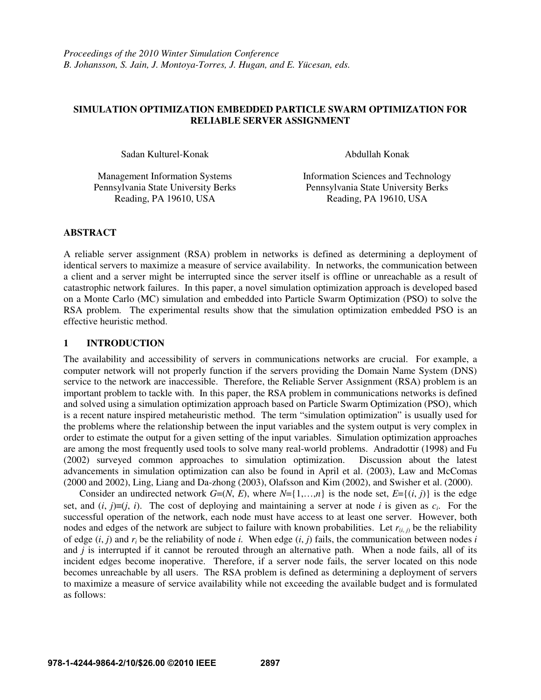# **SIMULATION OPTIMIZATION EMBEDDED PARTICLE SWARM OPTIMIZATION FOR RELIABLE SERVER ASSIGNMENT**

Sadan Kulturel-Konak Abdullah Konak Abdullah Konak

Management Information Systems Information Sciences and Technology Pennsylvania State University Berks Pennsylvania State University Berks Reading, PA 19610, USA Reading, PA 19610, USA

# **ABSTRACT**

A reliable server assignment (RSA) problem in networks is defined as determining a deployment of identical servers to maximize a measure of service availability. In networks, the communication between a client and a server might be interrupted since the server itself is offline or unreachable as a result of catastrophic network failures. In this paper, a novel simulation optimization approach is developed based on a Monte Carlo (MC) simulation and embedded into Particle Swarm Optimization (PSO) to solve the RSA problem. The experimental results show that the simulation optimization embedded PSO is an effective heuristic method.

# **1 INTRODUCTION**

The availability and accessibility of servers in communications networks are crucial. For example, a computer network will not properly function if the servers providing the Domain Name System (DNS) service to the network are inaccessible. Therefore, the Reliable Server Assignment (RSA) problem is an important problem to tackle with. In this paper, the RSA problem in communications networks is defined and solved using a simulation optimization approach based on Particle Swarm Optimization (PSO), which is a recent nature inspired metaheuristic method. The term "simulation optimization" is usually used for the problems where the relationship between the input variables and the system output is very complex in order to estimate the output for a given setting of the input variables. Simulation optimization approaches are among the most frequently used tools to solve many real-world problems. Andradottir (1998) and Fu (2002) surveyed common approaches to simulation optimization. Discussion about the latest advancements in simulation optimization can also be found in April et al. (2003), Law and McComas (2000 and 2002), Ling, Liang and Da-zhong (2003), Olafsson and Kim (2002), and Swisher et al. (2000).

Consider an undirected network  $G=(N, E)$ , where  $N=\{1,...,n\}$  is the node set,  $E=\{(i, j)\}$  is the edge set, and  $(i, j) \equiv (j, i)$ . The cost of deploying and maintaining a server at node *i* is given as  $c_i$ . For the successful operation of the network, each node must have access to at least one server. However, both nodes and edges of the network are subject to failure with known probabilities. Let  $r_{(i,j)}$  be the reliability of edge  $(i, j)$  and  $r_i$  be the reliability of node *i*. When edge  $(i, j)$  fails, the communication between nodes *i* and *i* is interrupted if it cannot be rerouted through an alternative path. When a node fails, all of its incident edges become inoperative. Therefore, if a server node fails, the server located on this node becomes unreachable by all users. The RSA problem is defined as determining a deployment of servers to maximize a measure of service availability while not exceeding the available budget and is formulated as follows: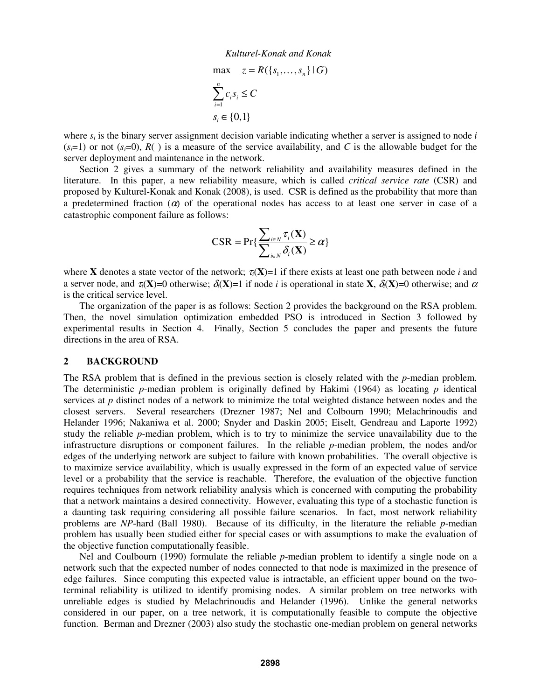$$
\max \quad z = R(\{s_1, \dots, s_n\} \mid G)
$$

$$
\sum_{i=1}^n c_i s_i \le C
$$

$$
s_i \in \{0, 1\}
$$

where  $s_i$  is the binary server assignment decision variable indicating whether a server is assigned to node  $i$  $(s=1)$  or not  $(s=0)$ ,  $R()$  is a measure of the service availability, and *C* is the allowable budget for the server deployment and maintenance in the network.

 Section 2 gives a summary of the network reliability and availability measures defined in the literature. In this paper, a new reliability measure, which is called *critical service rate* (CSR) and proposed by Kulturel-Konak and Konak (2008), is used. CSR is defined as the probability that more than a predetermined fraction  $(a)$  of the operational nodes has access to at least one server in case of a catastrophic component failure as follows:

$$
CSR = \Pr{\frac{\sum_{i\in N} \tau_i(\mathbf{X})}{\sum_{i\in N} \delta_i(\mathbf{X})}} \ge \alpha\}
$$

where **X** denotes a state vector of the network;  $\tau_i(\mathbf{X})=1$  if there exists at least one path between node *i* and a server node, and  $\tau_i(\mathbf{X})=0$  otherwise;  $\delta_i(\mathbf{X})=1$  if node *i* is operational in state **X**,  $\delta_i(\mathbf{X})=0$  otherwise; and  $\alpha$ is the critical service level.

 The organization of the paper is as follows: Section 2 provides the background on the RSA problem. Then, the novel simulation optimization embedded PSO is introduced in Section 3 followed by experimental results in Section 4. Finally, Section 5 concludes the paper and presents the future directions in the area of RSA.

#### **2 BACKGROUND**

The RSA problem that is defined in the previous section is closely related with the *p*-median problem. The deterministic *p*-median problem is originally defined by Hakimi (1964) as locating *p* identical services at *p* distinct nodes of a network to minimize the total weighted distance between nodes and the closest servers. Several researchers (Drezner 1987; Nel and Colbourn 1990; Melachrinoudis and Helander 1996; Nakaniwa et al. 2000; Snyder and Daskin 2005; Eiselt, Gendreau and Laporte 1992) study the reliable *p*-median problem, which is to try to minimize the service unavailability due to the infrastructure disruptions or component failures. In the reliable *p*-median problem, the nodes and/or edges of the underlying network are subject to failure with known probabilities. The overall objective is to maximize service availability, which is usually expressed in the form of an expected value of service level or a probability that the service is reachable. Therefore, the evaluation of the objective function requires techniques from network reliability analysis which is concerned with computing the probability that a network maintains a desired connectivity. However, evaluating this type of a stochastic function is a daunting task requiring considering all possible failure scenarios. In fact, most network reliability problems are *NP*-hard (Ball 1980). Because of its difficulty, in the literature the reliable *p*-median problem has usually been studied either for special cases or with assumptions to make the evaluation of the objective function computationally feasible.

 Nel and Coulbourn (1990) formulate the reliable *p*-median problem to identify a single node on a network such that the expected number of nodes connected to that node is maximized in the presence of edge failures. Since computing this expected value is intractable, an efficient upper bound on the twoterminal reliability is utilized to identify promising nodes. A similar problem on tree networks with unreliable edges is studied by Melachrinoudis and Helander (1996). Unlike the general networks considered in our paper, on a tree network, it is computationally feasible to compute the objective function. Berman and Drezner (2003) also study the stochastic one-median problem on general networks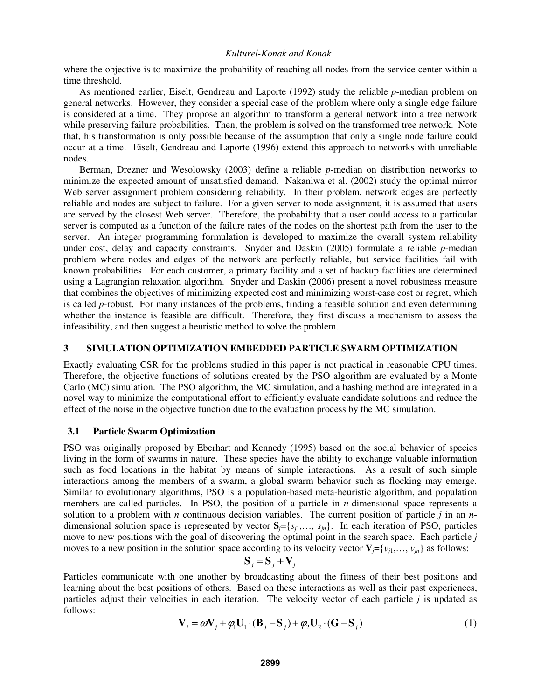where the objective is to maximize the probability of reaching all nodes from the service center within a time threshold.

 As mentioned earlier, Eiselt, Gendreau and Laporte (1992) study the reliable *p*-median problem on general networks. However, they consider a special case of the problem where only a single edge failure is considered at a time. They propose an algorithm to transform a general network into a tree network while preserving failure probabilities. Then, the problem is solved on the transformed tree network. Note that, his transformation is only possible because of the assumption that only a single node failure could occur at a time. Eiselt, Gendreau and Laporte (1996) extend this approach to networks with unreliable nodes.

 Berman, Drezner and Wesolowsky (2003) define a reliable *p*-median on distribution networks to minimize the expected amount of unsatisfied demand. Nakaniwa et al. (2002) study the optimal mirror Web server assignment problem considering reliability. In their problem, network edges are perfectly reliable and nodes are subject to failure. For a given server to node assignment, it is assumed that users are served by the closest Web server. Therefore, the probability that a user could access to a particular server is computed as a function of the failure rates of the nodes on the shortest path from the user to the server. An integer programming formulation is developed to maximize the overall system reliability under cost, delay and capacity constraints. Snyder and Daskin (2005) formulate a reliable *p*-median problem where nodes and edges of the network are perfectly reliable, but service facilities fail with known probabilities. For each customer, a primary facility and a set of backup facilities are determined using a Lagrangian relaxation algorithm. Snyder and Daskin (2006) present a novel robustness measure that combines the objectives of minimizing expected cost and minimizing worst-case cost or regret, which is called *p*-robust. For many instances of the problems, finding a feasible solution and even determining whether the instance is feasible are difficult. Therefore, they first discuss a mechanism to assess the infeasibility, and then suggest a heuristic method to solve the problem.

## **3 SIMULATION OPTIMIZATION EMBEDDED PARTICLE SWARM OPTIMIZATION**

Exactly evaluating CSR for the problems studied in this paper is not practical in reasonable CPU times. Therefore, the objective functions of solutions created by the PSO algorithm are evaluated by a Monte Carlo (MC) simulation. The PSO algorithm, the MC simulation, and a hashing method are integrated in a novel way to minimize the computational effort to efficiently evaluate candidate solutions and reduce the effect of the noise in the objective function due to the evaluation process by the MC simulation.

### **3.1 Particle Swarm Optimization**

PSO was originally proposed by Eberhart and Kennedy (1995) based on the social behavior of species living in the form of swarms in nature. These species have the ability to exchange valuable information such as food locations in the habitat by means of simple interactions. As a result of such simple interactions among the members of a swarm, a global swarm behavior such as flocking may emerge. Similar to evolutionary algorithms, PSO is a population-based meta-heuristic algorithm, and population members are called particles. In PSO, the position of a particle in *n*-dimensional space represents a solution to a problem with *n* continuous decision variables. The current position of particle *j* in an *n*dimensional solution space is represented by vector  $S_i = \{s_{i1}, \ldots, s_{in}\}\$ . In each iteration of PSO, particles move to new positions with the goal of discovering the optimal point in the search space. Each particle *j* moves to a new position in the solution space according to its velocity vector  $\mathbf{V}_j = \{v_{j1}, \ldots, v_{jn}\}$  as follows:

$$
\mathbf{S}_{j} = \mathbf{S}_{j} + \mathbf{V}_{j}
$$

Particles communicate with one another by broadcasting about the fitness of their best positions and learning about the best positions of others. Based on these interactions as well as their past experiences, particles adjust their velocities in each iteration. The velocity vector of each particle *j* is updated as follows:

$$
\mathbf{V}_{j} = \omega \mathbf{V}_{j} + \varphi_{1} \mathbf{U}_{1} \cdot (\mathbf{B}_{j} - \mathbf{S}_{j}) + \varphi_{2} \mathbf{U}_{2} \cdot (\mathbf{G} - \mathbf{S}_{j})
$$
\n(1)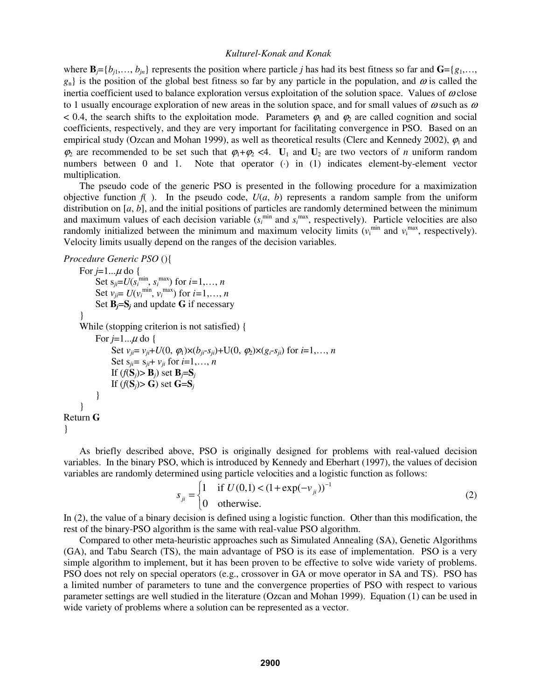where  $\mathbf{B} = \{b_{i1}, \ldots, b_{in}\}\$  represents the position where particle *j* has had its best fitness so far and  $\mathbf{G} = \{g_1, \ldots, g_n\}$  $g_n$ } is the position of the global best fitness so far by any particle in the population, and  $\omega$  is called the inertia coefficient used to balance exploration versus exploitation of the solution space. Values of  $\omega$  close to 1 usually encourage exploration of new areas in the solution space, and for small values of  $\omega$  such as  $\omega$ < 0.4, the search shifts to the exploitation mode. Parameters  $\varphi_1$  and  $\varphi_2$  are called cognition and social coefficients, respectively, and they are very important for facilitating convergence in PSO. Based on an empirical study (Ozcan and Mohan 1999), as well as theoretical results (Clerc and Kennedy 2002),  $\varphi_1$  and  $\varphi_2$  are recommended to be set such that  $\varphi_1 + \varphi_2 < 4$ .  $\mathbf{U}_1$  and  $\mathbf{U}_2$  are two vectors of *n* uniform random numbers between 0 and 1. Note that operator (·) in (1) indicates element-by-element vector multiplication.

 The pseudo code of the generic PSO is presented in the following procedure for a maximization objective function  $f(x)$ . In the pseudo code,  $U(a, b)$  represents a random sample from the uniform distribution on [*a*, *b*], and the initial positions of particles are randomly determined between the minimum and maximum values of each decision variable  $(s_i^{\text{min}}$  and  $s_i^{\text{max}}$ , respectively). Particle velocities are also randomly initialized between the minimum and maximum velocity limits  $(v_i^{\min}$  and  $v_i^{\max}$ , respectively). Velocity limits usually depend on the ranges of the decision variables.

```
Procedure Generic PSO (){
```

```
For j=1...\mu do {
Set s_{ji} = U(s_i^{\text{min}}, s_i^{\text{max}}) for i = 1, ..., nSet v_{ji} = U(v_i^{\text{min}}, v_i^{\text{max}}) for i=1,\ldots,nSet B_i = S_i and update G if necessary
 } 
      While (stopping criterion is not satisfied) { 
           For j=1... \mu do {
                Set v_{ji} = v_{ji} + U(0, \phi_1) \times (b_{ji} - s_{ji}) + U(0, \phi_2) \times (g_i - s_{ji}) for i = 1, ..., nSet s_{ii} = s_{ii} + v_{ii} for i = 1, ..., nIf (f(S_i) > B_i) set B_i = S_iIf (f(S_i) > G) set G = S_i } 
      } 
Return G
}
```
 As briefly described above, PSO is originally designed for problems with real-valued decision variables. In the binary PSO, which is introduced by Kennedy and Eberhart (1997), the values of decision variables are randomly determined using particle velocities and a logistic function as follows:

$$
s_{ji} = \begin{cases} 1 & \text{if } U(0,1) < (1 + \exp(-v_{ji}))^{-1} \\ 0 & \text{otherwise.} \end{cases}
$$
 (2)

In (2), the value of a binary decision is defined using a logistic function. Other than this modification, the rest of the binary-PSO algorithm is the same with real-value PSO algorithm.

 Compared to other meta-heuristic approaches such as Simulated Annealing (SA), Genetic Algorithms (GA), and Tabu Search (TS), the main advantage of PSO is its ease of implementation. PSO is a very simple algorithm to implement, but it has been proven to be effective to solve wide variety of problems. PSO does not rely on special operators (e.g., crossover in GA or move operator in SA and TS). PSO has a limited number of parameters to tune and the convergence properties of PSO with respect to various parameter settings are well studied in the literature (Ozcan and Mohan 1999). Equation (1) can be used in wide variety of problems where a solution can be represented as a vector.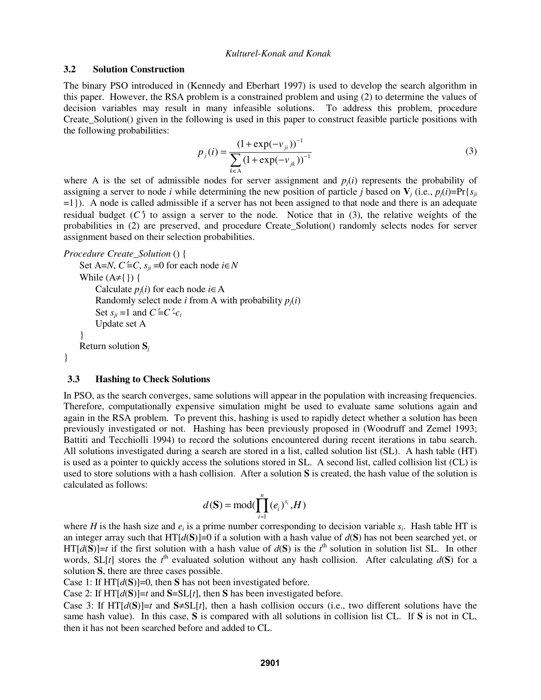### **3.2 Solution Construction**

The binary PSO introduced in (Kennedy and Eberhart 1997) is used to develop the search algorithm in this paper. However, the RSA problem is a constrained problem and using (2) to determine the values of decision variables may result in many infeasible solutions. To address this problem, procedure Create\_Solution() given in the following is used in this paper to construct feasible particle positions with the following probabilities:

$$
p_j(i) = \frac{(1 + \exp(-v_{ji}))^{-1}}{\sum_{k \in A} (1 + \exp(-v_{jk}))^{-1}}
$$
(3)

where A is the set of admissible nodes for server assignment and  $p_i(i)$  represents the probability of assigning a server to node *i* while determining the new position of particle *j* based on  $V_i$  (i.e.,  $p_i(i)=Pr\{s_{ij}\}\$ =1}). A node is called admissible if a server has not been assigned to that node and there is an adequate residual budget  $(C)$  to assign a server to the node. Notice that in (3), the relative weights of the probabilities in (2) are preserved, and procedure Create\_Solution() randomly selects nodes for server assignment based on their selection probabilities.

### *Procedure Create\_Solution* () {

```
Set A=N, C^2 = C, s_{ii} = 0 for each node i \in NWhile (A \neq \{\}) \}Calculate p_i(i) for each node i \in ARandomly select node i from A with probability p_i(i)Set s_{ii} = 1 and C = C - c_i Update set A 
 } 
     Return solution Sj
```
# **3.3 Hashing to Check Solutions**

}

In PSO, as the search converges, same solutions will appear in the population with increasing frequencies. Therefore, computationally expensive simulation might be used to evaluate same solutions again and again in the RSA problem. To prevent this, hashing is used to rapidly detect whether a solution has been previously investigated or not. Hashing has been previously proposed in (Woodruff and Zemel 1993; Battiti and Tecchiolli 1994) to record the solutions encountered during recent iterations in tabu search. All solutions investigated during a search are stored in a list, called solution list (SL). A hash table (HT) is used as a pointer to quickly access the solutions stored in SL. A second list, called collision list (CL) is used to store solutions with a hash collision. After a solution **S** is created, the hash value of the solution is calculated as follows:

$$
d(\mathbf{S}) = \text{mod}(\prod_{i=1}^{n} (e_i)^{s_i}, H)
$$

where *H* is the hash size and  $e_i$  is a prime number corresponding to decision variable  $s_i$ . Hash table HT is an integer array such that  $HT[d(S)] = 0$  if a solution with a hash value of  $d(S)$  has not been searched yet, or  $HT[d(S)] = t$  if the first solution with a hash value of  $d(S)$  is the  $t<sup>th</sup>$  solution in solution list SL. In other words, SL[t] stores the  $t^{\text{th}}$  evaluated solution without any hash collision. After calculating  $d(S)$  for a solution **S**, there are three cases possible.

Case 1: If  $HT[d(S)]=0$ , then **S** has not been investigated before.

Case 2: If  $HT[d(S)] = t$  and  $S = SL[t]$ , then S has been investigated before.

Case 3: If  $HT[d(S)] = t$  and  $S \neq SL[t]$ , then a hash collision occurs (i.e., two different solutions have the same hash value). In this case, **S** is compared with all solutions in collision list CL. If **S** is not in CL, then it has not been searched before and added to CL.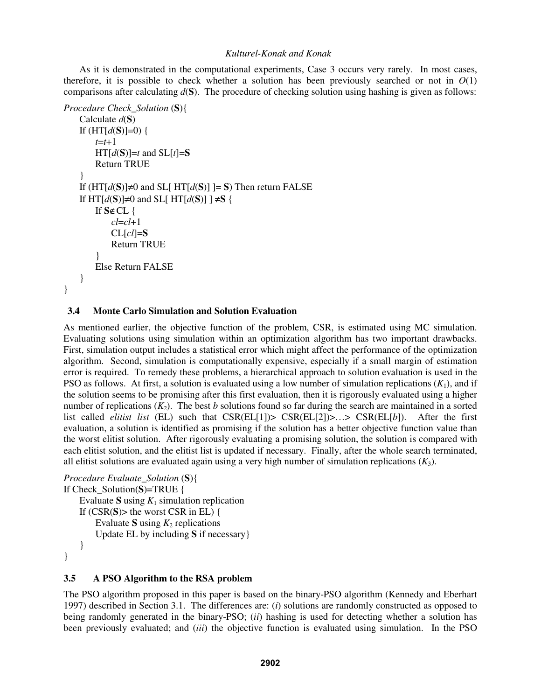As it is demonstrated in the computational experiments, Case 3 occurs very rarely. In most cases, therefore, it is possible to check whether a solution has been previously searched or not in  $O(1)$ comparisons after calculating  $d(S)$ . The procedure of checking solution using hashing is given as follows:

```
Procedure Check_Solution (S){
     Calculate d(S) 
     If (HT[d(S)]=0) { 
         t=t+1 
        HT[d(S)] = t and SL[t] = S Return TRUE 
     } 
     If (HT[d(S)]≠0 and SL[ HT[d(S)] ]= S) Then return FALSE 
    If HT[d(S)]\neq 0 and SL[ HT[d(S)] ] \neq S {
         If S∉CL { 
             cl=cl+1 
             CL[cl]=S
             Return TRUE 
 } 
         Else Return FALSE 
     } 
}
```
### **3.4 Monte Carlo Simulation and Solution Evaluation**

As mentioned earlier, the objective function of the problem, CSR, is estimated using MC simulation. Evaluating solutions using simulation within an optimization algorithm has two important drawbacks. First, simulation output includes a statistical error which might affect the performance of the optimization algorithm. Second, simulation is computationally expensive, especially if a small margin of estimation error is required. To remedy these problems, a hierarchical approach to solution evaluation is used in the PSO as follows. At first, a solution is evaluated using a low number of simulation replications  $(K_1)$ , and if the solution seems to be promising after this first evaluation, then it is rigorously evaluated using a higher number of replications  $(K_2)$ . The best *b* solutions found so far during the search are maintained in a sorted list called *elitist list* (EL) such that CSR(EL[1])> CSR(EL[2])>…> CSR(EL[*b*]). After the first evaluation, a solution is identified as promising if the solution has a better objective function value than the worst elitist solution. After rigorously evaluating a promising solution, the solution is compared with each elitist solution, and the elitist list is updated if necessary. Finally, after the whole search terminated, all elitist solutions are evaluated again using a very high number of simulation replications  $(K_3)$ .

```
Procedure Evaluate_Solution (S){
If Check_Solution(S)=TRUE { 
    Evaluate S using K_1 simulation replication
    If (CSR(S) the worst CSR in EL) \{Evaluate S using K_2 replications
         Update EL by including S if necessary} 
     } 
}
```
# **3.5 A PSO Algorithm to the RSA problem**

The PSO algorithm proposed in this paper is based on the binary-PSO algorithm (Kennedy and Eberhart 1997) described in Section 3.1. The differences are: (*i*) solutions are randomly constructed as opposed to being randomly generated in the binary-PSO; (*ii*) hashing is used for detecting whether a solution has been previously evaluated; and (*iii*) the objective function is evaluated using simulation. In the PSO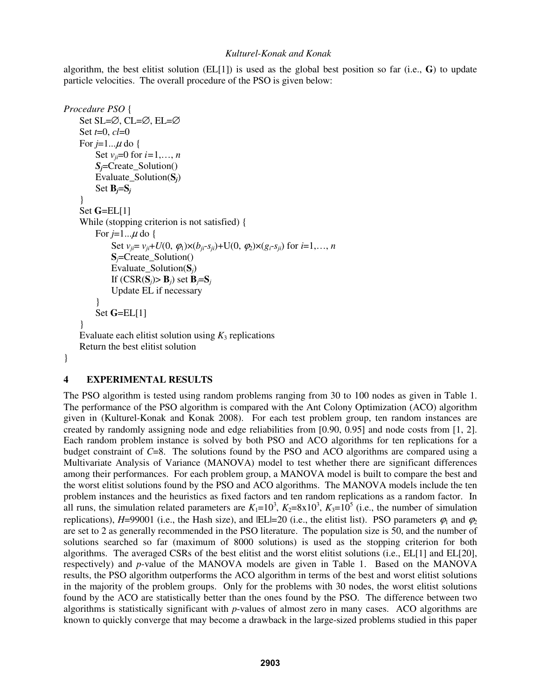algorithm, the best elitist solution ( $EL[1]$ ) is used as the global best position so far (i.e.,  $\bf{G}$ ) to update particle velocities. The overall procedure of the PSO is given below:

```
Procedure PSO { 
      Set SL=∅, CL=∅, EL=∅ 
      Set t=0, cl=0 
     For j=1... \mu do {
         Set v_{ii} = 0 for i = 1, ..., n Sj=Create_Solution() 
          Evaluate_Solution(Sj) 
         Set B_i = S_i } 
      Set G=EL[1] 
     While (stopping criterion is not satisfied) { 
         For j=1... \mu do {
              Set v_{ii} = v_{ii} + U(0, \phi_1) \times (b_{ii} - s_{ii}) + U(0, \phi_2) \times (g_i - s_{ii}) for i = 1, ..., n Sj=Create_Solution() 
               Evaluate_Solution(Sj) 
              If (CSR(S_i) > B_i) set B_i = S_i Update EL if necessary 
 } 
          Set G=EL[1] 
      } 
    Evaluate each elitist solution using K_3 replications
     Return the best elitist solution 
}
```
# **4 EXPERIMENTAL RESULTS**

The PSO algorithm is tested using random problems ranging from 30 to 100 nodes as given in Table 1. The performance of the PSO algorithm is compared with the Ant Colony Optimization (ACO) algorithm given in (Kulturel-Konak and Konak 2008). For each test problem group, ten random instances are created by randomly assigning node and edge reliabilities from [0.90, 0.95] and node costs from [1, 2]. Each random problem instance is solved by both PSO and ACO algorithms for ten replications for a budget constraint of *C*=8. The solutions found by the PSO and ACO algorithms are compared using a Multivariate Analysis of Variance (MANOVA) model to test whether there are significant differences among their performances. For each problem group, a MANOVA model is built to compare the best and the worst elitist solutions found by the PSO and ACO algorithms. The MANOVA models include the ten problem instances and the heuristics as fixed factors and ten random replications as a random factor. In all runs, the simulation related parameters are  $K_1=10^3$ ,  $K_2=8\times10^3$ ,  $K_3=10^5$  (i.e., the number of simulation replications), *H*=99001 (i.e., the Hash size), and |EL|=20 (i.e., the elitist list). PSO parameters  $\varphi_1$  and  $\varphi_2$ are set to 2 as generally recommended in the PSO literature. The population size is 50, and the number of solutions searched so far (maximum of 8000 solutions) is used as the stopping criterion for both algorithms. The averaged CSRs of the best elitist and the worst elitist solutions (i.e., EL[1] and EL[20], respectively) and *p*-value of the MANOVA models are given in Table 1. Based on the MANOVA results, the PSO algorithm outperforms the ACO algorithm in terms of the best and worst elitist solutions in the majority of the problem groups. Only for the problems with 30 nodes, the worst elitist solutions found by the ACO are statistically better than the ones found by the PSO. The difference between two algorithms is statistically significant with *p*-values of almost zero in many cases. ACO algorithms are known to quickly converge that may become a drawback in the large-sized problems studied in this paper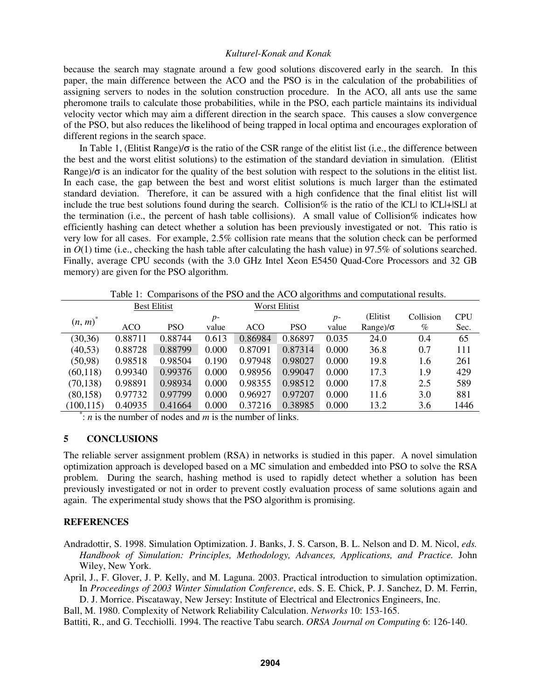because the search may stagnate around a few good solutions discovered early in the search. In this paper, the main difference between the ACO and the PSO is in the calculation of the probabilities of assigning servers to nodes in the solution construction procedure. In the ACO, all ants use the same pheromone trails to calculate those probabilities, while in the PSO, each particle maintains its individual velocity vector which may aim a different direction in the search space. This causes a slow convergence of the PSO, but also reduces the likelihood of being trapped in local optima and encourages exploration of different regions in the search space.

In Table 1, (Elitist Range)/σ is the ratio of the CSR range of the elitist list (i.e., the difference between the best and the worst elitist solutions) to the estimation of the standard deviation in simulation. (Elitist Range)/σ is an indicator for the quality of the best solution with respect to the solutions in the elitist list. In each case, the gap between the best and worst elitist solutions is much larger than the estimated standard deviation. Therefore, it can be assured with a high confidence that the final elitist list will include the true best solutions found during the search. Collision% is the ratio of the |CL| to |CL|+|SL| at the termination (i.e., the percent of hash table collisions). A small value of Collision% indicates how efficiently hashing can detect whether a solution has been previously investigated or not. This ratio is very low for all cases. For example, 2.5% collision rate means that the solution check can be performed in  $O(1)$  time (i.e., checking the hash table after calculating the hash value) in 97.5% of solutions searched. Finally, average CPU seconds (with the 3.0 GHz Intel Xeon E5450 Quad-Core Processors and 32 GB memory) are given for the PSO algorithm.

Table 1: Comparisons of the PSO and the ACO algorithms and computational results. Best Elitist Worst Elitist  $(n, m)^*$ ACO PSO *p*value ACO PSO *p*value (Elitist Range)/σ Collision  $\%$ CPU Sec. (30,36) 0.88711 0.88744 0.613 0.86984 0.86897 0.035 24.0 0.4 65 (40,53) 0.88728 0.88799 0.000 0.87091 0.87314 0.000 36.8 0.7 111 (50,98) 0.98518 0.98504 0.190 0.97948 0.98027 0.000 19.8 1.6 261

(60,118) 0.99340 0.99376 0.000 0.98956 0.99047 0.000 17.3 1.9 429 (70,138) 0.98891 0.98934 0.000 0.98355 0.98512 0.000 17.8 2.5 589 (80,158) 0.97732 0.97799 0.000 0.96927 0.97207 0.000 11.6 3.0 881

(100,115) 0.40935 0.41664 0.000 0.37216 0.38985 0.000 13.2 3.6 1446 \* : *n* is the number of nodes and *m* is the number of links.

# **5 CONCLUSIONS**

The reliable server assignment problem (RSA) in networks is studied in this paper. A novel simulation optimization approach is developed based on a MC simulation and embedded into PSO to solve the RSA problem. During the search, hashing method is used to rapidly detect whether a solution has been previously investigated or not in order to prevent costly evaluation process of same solutions again and again. The experimental study shows that the PSO algorithm is promising.

### **REFERENCES**

- Andradottir, S. 1998. Simulation Optimization. J. Banks, J. S. Carson, B. L. Nelson and D. M. Nicol, *eds. Handbook of Simulation: Principles, Methodology, Advances, Applications, and Practice.* John Wiley, New York.
- April, J., F. Glover, J. P. Kelly, and M. Laguna. 2003. Practical introduction to simulation optimization. In *Proceedings of 2003 Winter Simulation Conference*, eds. S. E. Chick, P. J. Sanchez, D. M. Ferrin, D. J. Morrice. Piscataway, New Jersey: Institute of Electrical and Electronics Engineers, Inc.

Ball, M. 1980. Complexity of Network Reliability Calculation. *Networks* 10: 153-165.

Battiti, R., and G. Tecchiolli. 1994. The reactive Tabu search. *ORSA Journal on Computing* 6: 126-140.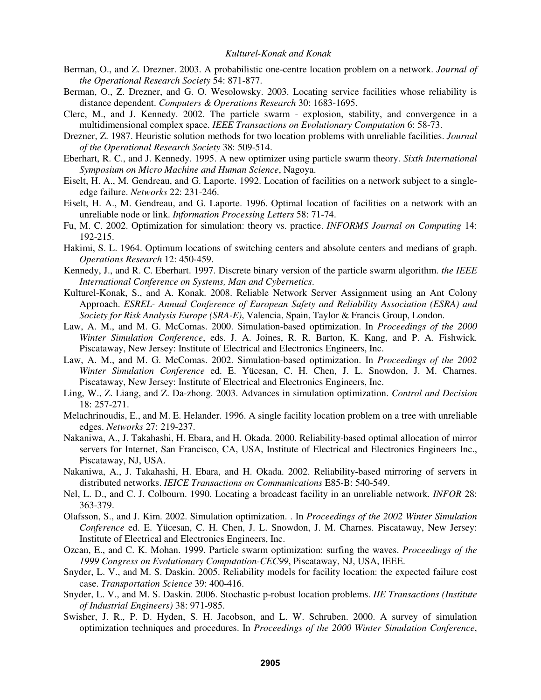- Berman, O., and Z. Drezner. 2003. A probabilistic one-centre location problem on a network. *Journal of the Operational Research Society* 54: 871-877.
- Berman, O., Z. Drezner, and G. O. Wesolowsky. 2003. Locating service facilities whose reliability is distance dependent. *Computers & Operations Research* 30: 1683-1695.
- Clerc, M., and J. Kennedy. 2002. The particle swarm explosion, stability, and convergence in a multidimensional complex space. *IEEE Transactions on Evolutionary Computation* 6: 58-73.
- Drezner, Z. 1987. Heuristic solution methods for two location problems with unreliable facilities. *Journal of the Operational Research Society* 38: 509-514.
- Eberhart, R. C., and J. Kennedy. 1995. A new optimizer using particle swarm theory. *Sixth International Symposium on Micro Machine and Human Science*, Nagoya.
- Eiselt, H. A., M. Gendreau, and G. Laporte. 1992. Location of facilities on a network subject to a singleedge failure. *Networks* 22: 231-246.
- Eiselt, H. A., M. Gendreau, and G. Laporte. 1996. Optimal location of facilities on a network with an unreliable node or link. *Information Processing Letters* 58: 71-74.
- Fu, M. C. 2002. Optimization for simulation: theory vs. practice. *INFORMS Journal on Computing* 14: 192-215.
- Hakimi, S. L. 1964. Optimum locations of switching centers and absolute centers and medians of graph. *Operations Research* 12: 450-459.
- Kennedy, J., and R. C. Eberhart. 1997. Discrete binary version of the particle swarm algorithm. *the IEEE International Conference on Systems, Man and Cybernetics*.
- Kulturel-Konak, S., and A. Konak. 2008. Reliable Network Server Assignment using an Ant Colony Approach. *ESREL- Annual Conference of European Safety and Reliability Association (ESRA) and Society for Risk Analysis Europe (SRA-E)*, Valencia, Spain, Taylor & Francis Group, London.
- Law, A. M., and M. G. McComas. 2000. Simulation-based optimization. In *Proceedings of the 2000 Winter Simulation Conference*, eds. J. A. Joines, R. R. Barton, K. Kang, and P. A. Fishwick. Piscataway, New Jersey: Institute of Electrical and Electronics Engineers, Inc.
- Law, A. M., and M. G. McComas. 2002. Simulation-based optimization. In *Proceedings of the 2002 Winter Simulation Conference* ed. E. Yücesan, C. H. Chen, J. L. Snowdon, J. M. Charnes. Piscataway, New Jersey: Institute of Electrical and Electronics Engineers, Inc.
- Ling, W., Z. Liang, and Z. Da-zhong. 2003. Advances in simulation optimization. *Control and Decision* 18: 257-271.
- Melachrinoudis, E., and M. E. Helander. 1996. A single facility location problem on a tree with unreliable edges. *Networks* 27: 219-237.
- Nakaniwa, A., J. Takahashi, H. Ebara, and H. Okada. 2000. Reliability-based optimal allocation of mirror servers for Internet, San Francisco, CA, USA, Institute of Electrical and Electronics Engineers Inc., Piscataway, NJ, USA.
- Nakaniwa, A., J. Takahashi, H. Ebara, and H. Okada. 2002. Reliability-based mirroring of servers in distributed networks. *IEICE Transactions on Communications* E85-B: 540-549.
- Nel, L. D., and C. J. Colbourn. 1990. Locating a broadcast facility in an unreliable network. *INFOR* 28: 363-379.
- Olafsson, S., and J. Kim. 2002. Simulation optimization. . In *Proceedings of the 2002 Winter Simulation Conference* ed. E. Yücesan, C. H. Chen, J. L. Snowdon, J. M. Charnes. Piscataway, New Jersey: Institute of Electrical and Electronics Engineers, Inc.
- Ozcan, E., and C. K. Mohan. 1999. Particle swarm optimization: surfing the waves. *Proceedings of the 1999 Congress on Evolutionary Computation-CEC99*, Piscataway, NJ, USA, IEEE.
- Snyder, L. V., and M. S. Daskin. 2005. Reliability models for facility location: the expected failure cost case. *Transportation Science* 39: 400-416.
- Snyder, L. V., and M. S. Daskin. 2006. Stochastic p-robust location problems. *IIE Transactions (Institute of Industrial Engineers)* 38: 971-985.
- Swisher, J. R., P. D. Hyden, S. H. Jacobson, and L. W. Schruben. 2000. A survey of simulation optimization techniques and procedures. In *Proceedings of the 2000 Winter Simulation Conference*,